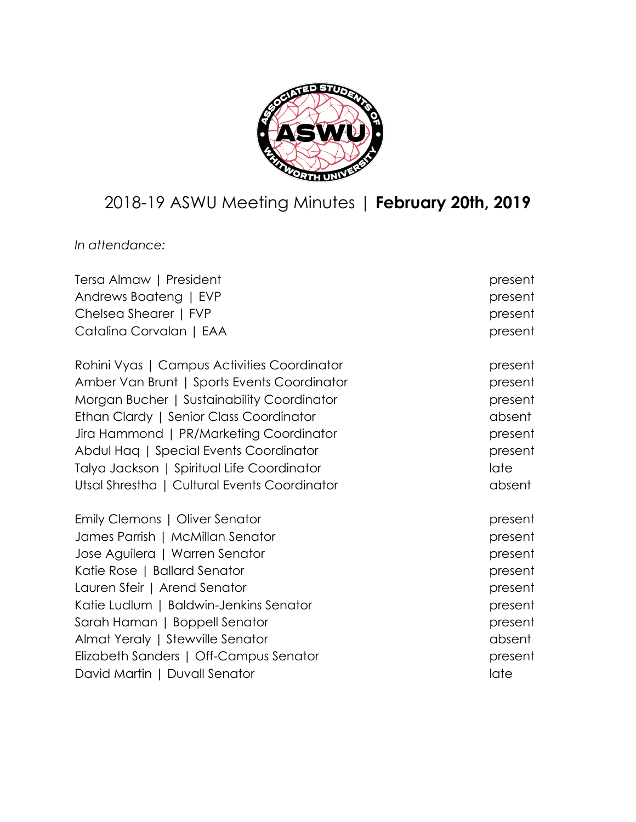

# 2018-19 ASWU Meeting Minutes | **February 20th, 2019**

*In attendance:*

| Tersa Almaw   President                      | present |
|----------------------------------------------|---------|
| Andrews Boateng   EVP                        | present |
| Chelsea Shearer   FVP                        | present |
| Catalina Corvalan   EAA                      | present |
| Rohini Vyas   Campus Activities Coordinator  | present |
| Amber Van Brunt   Sports Events Coordinator  | present |
| Morgan Bucher   Sustainability Coordinator   | present |
| Ethan Clardy   Senior Class Coordinator      | absent  |
| Jira Hammond   PR/Marketing Coordinator      | present |
| Abdul Haq   Special Events Coordinator       | present |
| Talya Jackson   Spiritual Life Coordinator   | late    |
| Utsal Shrestha   Cultural Events Coordinator | absent  |
| Emily Clemons   Oliver Senator               | present |
| James Parrish   McMillan Senator             | present |
| Jose Aguilera   Warren Senator               | present |
| Katie Rose   Ballard Senator                 | present |
| Lauren Sfeir   Arend Senator                 | present |
| Katie Ludlum   Baldwin-Jenkins Senator       | present |
| Sarah Haman   Boppell Senator                | present |
| Almat Yeraly   Stewville Senator             | absent  |
| Elizabeth Sanders   Off-Campus Senator       | present |
| David Martin   Duvall Senator                | late    |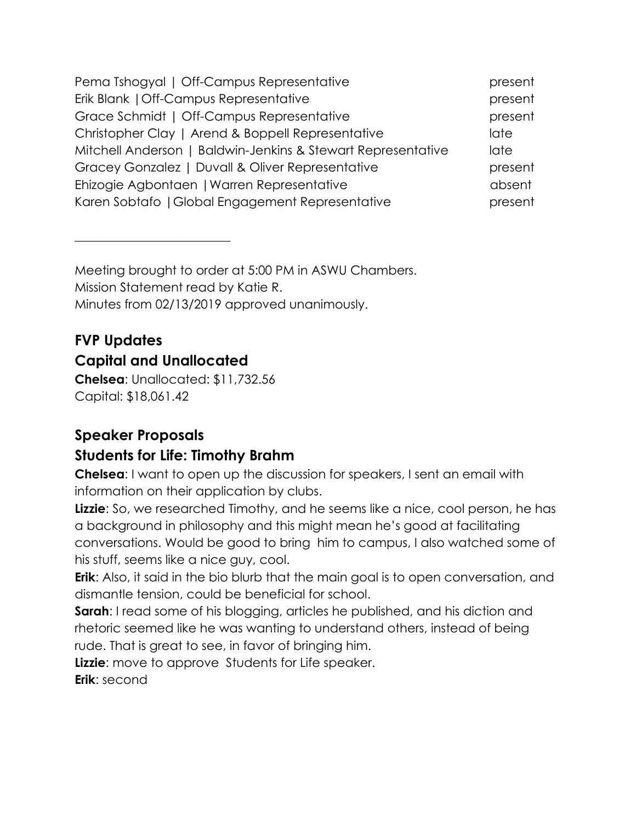| Pema Tshogyal   Off-Campus Representative                    | present |
|--------------------------------------------------------------|---------|
| Erik Blank   Off-Campus Representative                       | present |
| Grace Schmidt   Off-Campus Representative                    | present |
| Christopher Clay   Arend & Boppell Representative            | late    |
| Mitchell Anderson   Baldwin-Jenkins & Stewart Representative | late    |
| Gracey Gonzalez   Duvall & Oliver Representative             | present |
| Ehizogie Agbontaen   Warren Representative                   | absent  |
| Karen Sobtafo   Global Engagement Representative             | present |

Meeting brought to order at 5:00 PM in ASWU Chambers. Mission Statement read by Katie R. Minutes from 02/13/2019 approved unanimously.

## **FVP Updates Capital and Unallocated**

 $\overline{\phantom{a}}$  , where  $\overline{\phantom{a}}$  , where  $\overline{\phantom{a}}$  , where  $\overline{\phantom{a}}$  , where  $\overline{\phantom{a}}$ 

**Chelsea**: Unallocated: \$11,732.56 Capital: \$18,061.42

## **Speaker Proposals**

## **Students for Life: Timothy Brahm**

**Chelsea**: I want to open up the discussion for speakers, I sent an email with information on their application by clubs.

**Lizzie**: So, we researched Timothy, and he seems like a nice, cool person, he has a background in philosophy and this might mean he's good at facilitating conversations. Would be good to bring him to campus, I also watched some of his stuff, seems like a nice guy, cool.

**Erik**: Also, it said in the bio blurb that the main goal is to open conversation, and dismantle tension, could be beneficial for school.

**Sarah:** I read some of his blogging, articles he published, and his diction and rhetoric seemed like he was wanting to understand others, instead of being rude. That is great to see, in favor of bringing him.

**Lizzie**: move to approve Students for Life speaker. **Erik**: second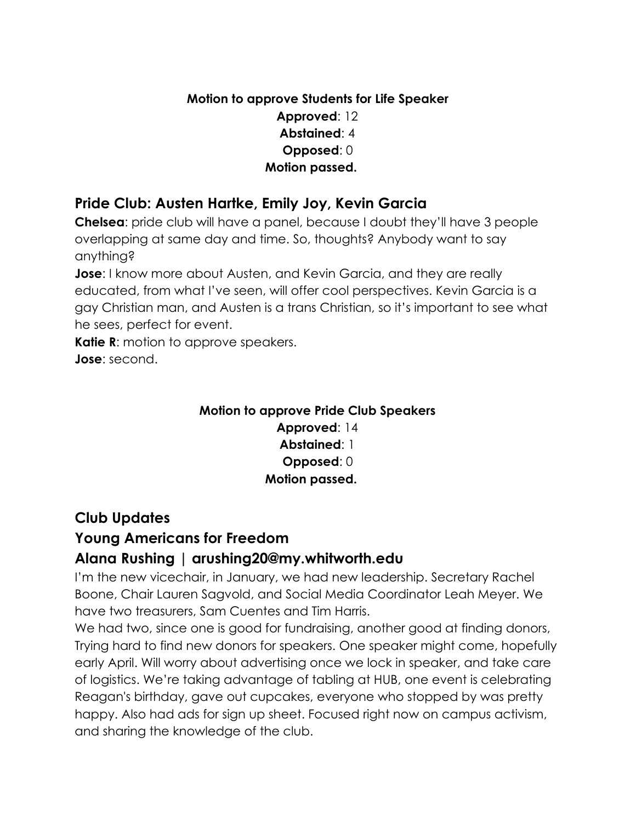#### **Motion to approve Students for Life Speaker Approved**: 12 **Abstained**: 4  **Opposed**: 0  **Motion passed.**

#### **Pride Club: Austen Hartke, Emily Joy, Kevin Garcia**

**Chelsea**: pride club will have a panel, because I doubt they'll have 3 people overlapping at same day and time. So, thoughts? Anybody want to say anything?

**Jose**: I know more about Austen, and Kevin Garcia, and they are really educated, from what I've seen, will offer cool perspectives. Kevin Garcia is a gay Christian man, and Austen is a trans Christian, so it's important to see what he sees, perfect for event.

**Katie R:** motion to approve speakers. **Jose**: second.

#### **Motion to approve Pride Club Speakers**

**Approved**: 14 **Abstained**: 1  **Opposed**: 0  **Motion passed.**

### **Club Updates**

### **Young Americans for Freedom**

#### **Alana Rushing | arushing20@my.whitworth.edu**

I'm the new vicechair, in January, we had new leadership. Secretary Rachel Boone, Chair Lauren Sagvold, and Social Media Coordinator Leah Meyer. We have two treasurers, Sam Cuentes and Tim Harris.

We had two, since one is good for fundraising, another good at finding donors, Trying hard to find new donors for speakers. One speaker might come, hopefully early April. Will worry about advertising once we lock in speaker, and take care of logistics. We're taking advantage of tabling at HUB, one event is celebrating Reagan's birthday, gave out cupcakes, everyone who stopped by was pretty happy. Also had ads for sign up sheet. Focused right now on campus activism, and sharing the knowledge of the club.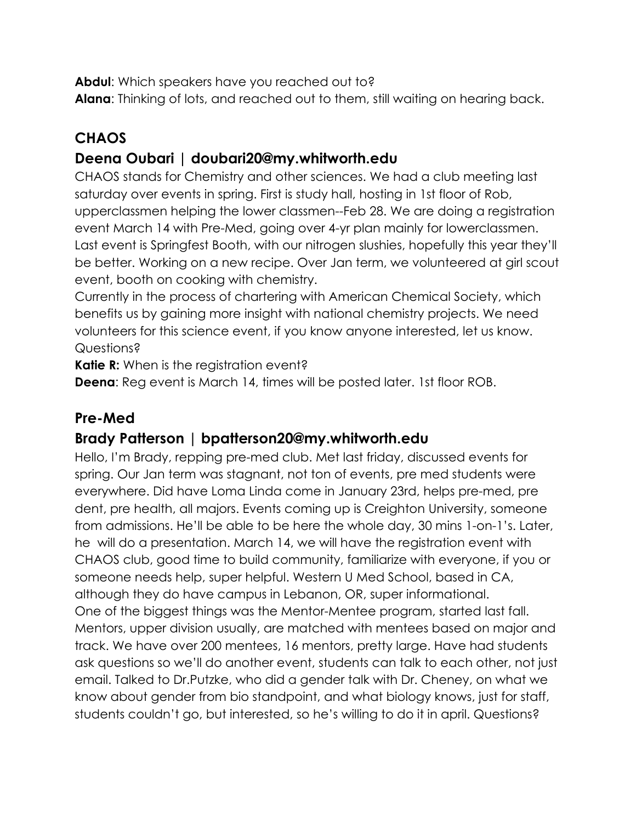**Abdul**: Which speakers have you reached out to?

**Alana**: Thinking of lots, and reached out to them, still waiting on hearing back.

## **CHAOS**

### **Deena Oubari | doubari20@my.whitworth.edu**

CHAOS stands for Chemistry and other sciences. We had a club meeting last saturday over events in spring. First is study hall, hosting in 1st floor of Rob, upperclassmen helping the lower classmen--Feb 28. We are doing a registration event March 14 with Pre-Med, going over 4-yr plan mainly for lowerclassmen. Last event is Springfest Booth, with our nitrogen slushies, hopefully this year they'll be better. Working on a new recipe. Over Jan term, we volunteered at girl scout event, booth on cooking with chemistry.

Currently in the process of chartering with American Chemical Society, which benefits us by gaining more insight with national chemistry projects. We need volunteers for this science event, if you know anyone interested, let us know. Questions?

**Katie R:** When is the registration event?

**Deena**: Reg event is March 14, times will be posted later. 1st floor ROB.

### **Pre-Med**

### **Brady Patterson | bpatterson20@my.whitworth.edu**

Hello, I'm Brady, repping pre-med club. Met last friday, discussed events for spring. Our Jan term was stagnant, not ton of events, pre med students were everywhere. Did have Loma Linda come in January 23rd, helps pre-med, pre dent, pre health, all majors. Events coming up is Creighton University, someone from admissions. He'll be able to be here the whole day, 30 mins 1-on-1's. Later, he will do a presentation. March 14, we will have the registration event with CHAOS club, good time to build community, familiarize with everyone, if you or someone needs help, super helpful. Western U Med School, based in CA, although they do have campus in Lebanon, OR, super informational. One of the biggest things was the Mentor-Mentee program, started last fall. Mentors, upper division usually, are matched with mentees based on major and track. We have over 200 mentees, 16 mentors, pretty large. Have had students ask questions so we'll do another event, students can talk to each other, not just email. Talked to Dr.Putzke, who did a gender talk with Dr. Cheney, on what we know about gender from bio standpoint, and what biology knows, just for staff, students couldn't go, but interested, so he's willing to do it in april. Questions?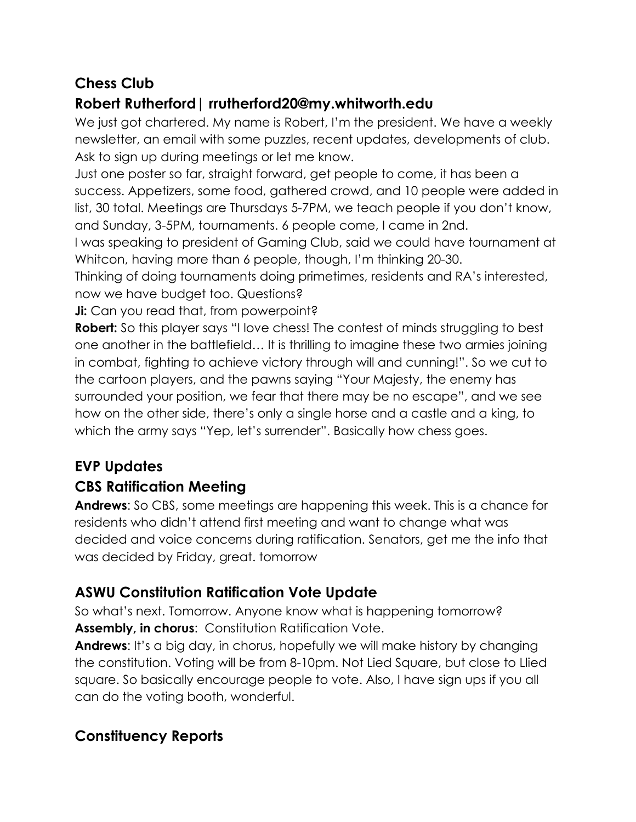### **Chess Club**

## **Robert Rutherford| rrutherford20@my.whitworth.edu**

We just got chartered. My name is Robert, I'm the president. We have a weekly newsletter, an email with some puzzles, recent updates, developments of club. Ask to sign up during meetings or let me know.

Just one poster so far, straight forward, get people to come, it has been a success. Appetizers, some food, gathered crowd, and 10 people were added in list, 30 total. Meetings are Thursdays 5-7PM, we teach people if you don't know, and Sunday, 3-5PM, tournaments. 6 people come, I came in 2nd.

I was speaking to president of Gaming Club, said we could have tournament at Whitcon, having more than 6 people, though, I'm thinking 20-30.

Thinking of doing tournaments doing primetimes, residents and RA's interested, now we have budget too. Questions?

**Ji:** Can you read that, from powerpoint?

**Robert:** So this player says "I love chess! The contest of minds struggling to best one another in the battlefield… It is thrilling to imagine these two armies joining in combat, fighting to achieve victory through will and cunning!". So we cut to the cartoon players, and the pawns saying "Your Majesty, the enemy has surrounded your position, we fear that there may be no escape", and we see how on the other side, there's only a single horse and a castle and a king, to which the army says "Yep, let's surrender". Basically how chess goes.

## **EVP Updates**

## **CBS Ratification Meeting**

**Andrews**: So CBS, some meetings are happening this week. This is a chance for residents who didn't attend first meeting and want to change what was decided and voice concerns during ratification. Senators, get me the info that was decided by Friday, great. tomorrow

## **ASWU Constitution Ratification Vote Update**

So what's next. Tomorrow. Anyone know what is happening tomorrow? Assembly, in chorus: Constitution Ratification Vote.

**Andrews**: It's a big day, in chorus, hopefully we will make history by changing the constitution. Voting will be from 8-10pm. Not Lied Square, but close to Llied square. So basically encourage people to vote. Also, I have sign ups if you all can do the voting booth, wonderful.

## **Constituency Reports**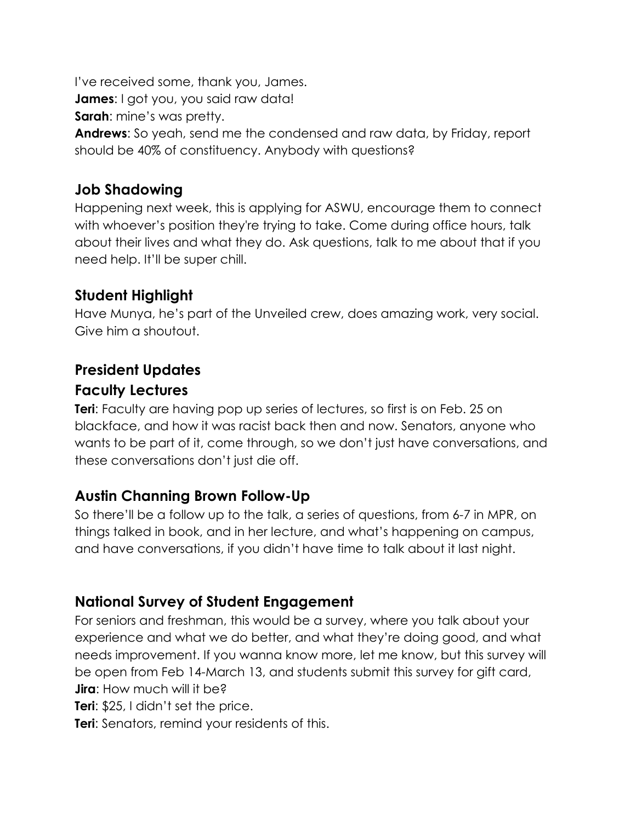I've received some, thank you, James. **James**: I got you, you said raw data! **Sarah:** mine's was pretty. **Andrews**: So yeah, send me the condensed and raw data, by Friday, report should be 40% of constituency. Anybody with questions?

#### **Job Shadowing**

Happening next week, this is applying for ASWU, encourage them to connect with whoever's position they're trying to take. Come during office hours, talk about their lives and what they do. Ask questions, talk to me about that if you need help. It'll be super chill.

### **Student Highlight**

Have Munya, he's part of the Unveiled crew, does amazing work, very social. Give him a shoutout.

## **President Updates Faculty Lectures**

**Teri**: Faculty are having pop up series of lectures, so first is on Feb. 25 on blackface, and how it was racist back then and now. Senators, anyone who wants to be part of it, come through, so we don't just have conversations, and these conversations don't just die off.

### **Austin Channing Brown Follow-Up**

So there'll be a follow up to the talk, a series of questions, from 6-7 in MPR, on things talked in book, and in her lecture, and what's happening on campus, and have conversations, if you didn't have time to talk about it last night.

## **National Survey of Student Engagement**

For seniors and freshman, this would be a survey, where you talk about your experience and what we do better, and what they're doing good, and what needs improvement. If you wanna know more, let me know, but this survey will be open from Feb 14-March 13, and students submit this survey for gift card, **Jira**: How much will it be?

**Teri**: \$25, I didn't set the price.

**Teri:** Senators, remind your residents of this.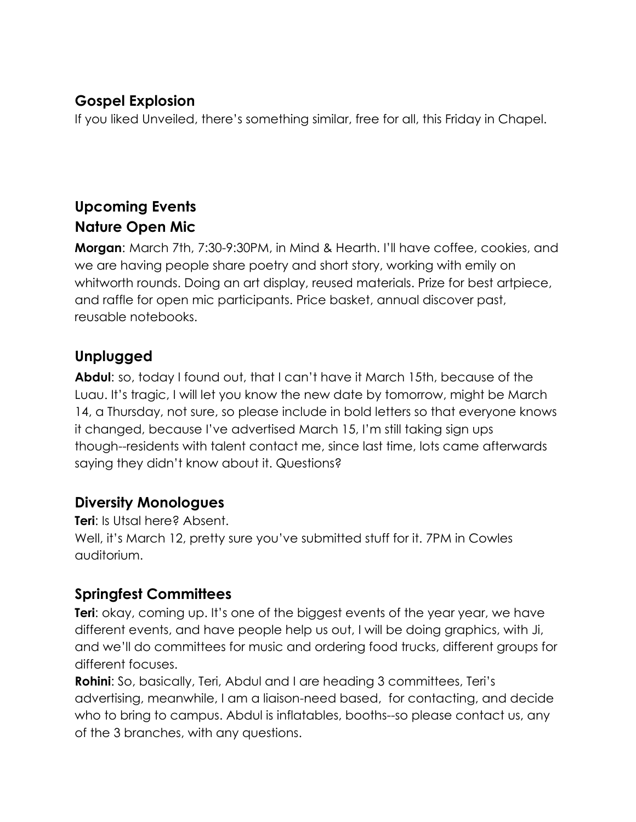### **Gospel Explosion**

If you liked Unveiled, there's something similar, free for all, this Friday in Chapel.

## **Upcoming Events Nature Open Mic**

**Morgan**: March 7th, 7:30-9:30PM, in Mind & Hearth. I'll have coffee, cookies, and we are having people share poetry and short story, working with emily on whitworth rounds. Doing an art display, reused materials. Prize for best artpiece, and raffle for open mic participants. Price basket, annual discover past, reusable notebooks.

## **Unplugged**

**Abdul**: so, today I found out, that I can't have it March 15th, because of the Luau. It's tragic, I will let you know the new date by tomorrow, might be March 14, a Thursday, not sure, so please include in bold letters so that everyone knows it changed, because I've advertised March 15, I'm still taking sign ups though--residents with talent contact me, since last time, lots came afterwards saying they didn't know about it. Questions?

### **Diversity Monologues**

**Teri**: Is Utsal here? Absent. Well, it's March 12, pretty sure you've submitted stuff for it. 7PM in Cowles auditorium.

## **Springfest Committees**

**Teri**: okay, coming up. It's one of the biggest events of the year year, we have different events, and have people help us out, I will be doing graphics, with Ji, and we'll do committees for music and ordering food trucks, different groups for different focuses.

**Rohini**: So, basically, Teri, Abdul and I are heading 3 committees, Teri's advertising, meanwhile, I am a liaison-need based, for contacting, and decide who to bring to campus. Abdul is inflatables, booths--so please contact us, any of the 3 branches, with any questions.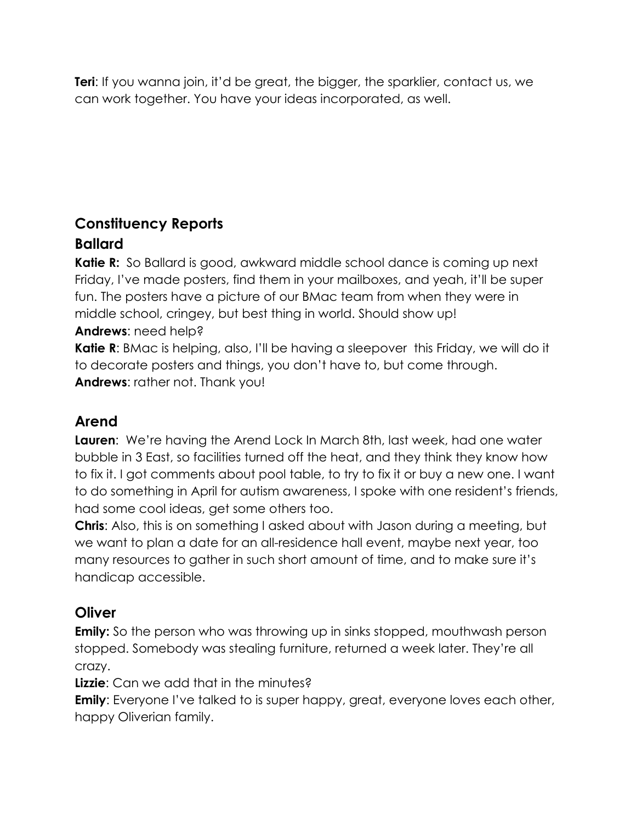**Teri**: If you wanna join, it'd be great, the bigger, the sparklier, contact us, we can work together. You have your ideas incorporated, as well.

### **Constituency Reports Ballard**

**Katie R:** So Ballard is good, awkward middle school dance is coming up next Friday, I've made posters, find them in your mailboxes, and yeah, it'll be super fun. The posters have a picture of our BMac team from when they were in middle school, cringey, but best thing in world. Should show up! **Andrews**: need help?

**Katie R:** BMac is helping, also, I'll be having a sleepover this Friday, we will do it to decorate posters and things, you don't have to, but come through. **Andrews**: rather not. Thank you!

### **Arend**

**Lauren**: We're having the Arend Lock In March 8th, last week, had one water bubble in 3 East, so facilities turned off the heat, and they think they know how to fix it. I got comments about pool table, to try to fix it or buy a new one. I want to do something in April for autism awareness, I spoke with one resident's friends, had some cool ideas, get some others too.

**Chris**: Also, this is on something I asked about with Jason during a meeting, but we want to plan a date for an all-residence hall event, maybe next year, too many resources to gather in such short amount of time, and to make sure it's handicap accessible.

#### **Oliver**

**Emily:** So the person who was throwing up in sinks stopped, mouthwash person stopped. Somebody was stealing furniture, returned a week later. They're all crazy.

**Lizzie**: Can we add that in the minutes?

**Emily**: Everyone I've talked to is super happy, great, everyone loves each other, happy Oliverian family.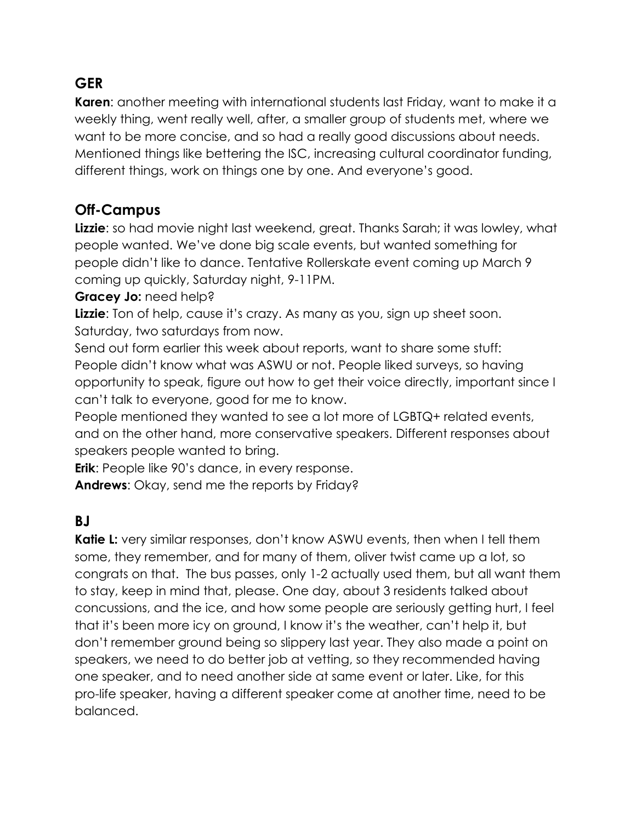### **GER**

**Karen**: another meeting with international students last Friday, want to make it a weekly thing, went really well, after, a smaller group of students met, where we want to be more concise, and so had a really good discussions about needs. Mentioned things like bettering the ISC, increasing cultural coordinator funding, different things, work on things one by one. And everyone's good.

#### **Off-Campus**

**Lizzie**: so had movie night last weekend, great. Thanks Sarah; it was lowley, what people wanted. We've done big scale events, but wanted something for people didn't like to dance. Tentative Rollerskate event coming up March 9 coming up quickly, Saturday night, 9-11PM.

#### **Gracey Jo:** need help?

**Lizzie**: Ton of help, cause it's crazy. As many as you, sign up sheet soon. Saturday, two saturdays from now.

Send out form earlier this week about reports, want to share some stuff: People didn't know what was ASWU or not. People liked surveys, so having opportunity to speak, figure out how to get their voice directly, important since I can't talk to everyone, good for me to know.

People mentioned they wanted to see a lot more of LGBTQ+ related events, and on the other hand, more conservative speakers. Different responses about speakers people wanted to bring.

**Erik**: People like 90's dance, in every response.

**Andrews**: Okay, send me the reports by Friday?

### **BJ**

**Katie L:** very similar responses, don't know ASWU events, then when I tell them some, they remember, and for many of them, oliver twist came up a lot, so congrats on that. The bus passes, only 1-2 actually used them, but all want them to stay, keep in mind that, please. One day, about 3 residents talked about concussions, and the ice, and how some people are seriously getting hurt, I feel that it's been more icy on ground, I know it's the weather, can't help it, but don't remember ground being so slippery last year. They also made a point on speakers, we need to do better job at vetting, so they recommended having one speaker, and to need another side at same event or later. Like, for this pro-life speaker, having a different speaker come at another time, need to be balanced.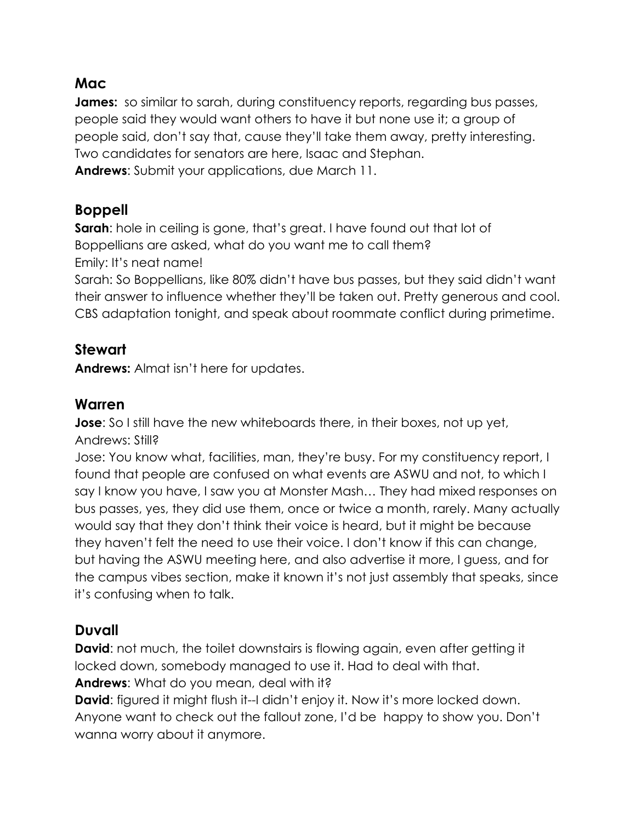#### **Mac**

**James:** so similar to sarah, during constituency reports, regarding bus passes, people said they would want others to have it but none use it; a group of people said, don't say that, cause they'll take them away, pretty interesting. Two candidates for senators are here, Isaac and Stephan. **Andrews**: Submit your applications, due March 11.

#### **Boppell**

**Sarah:** hole in ceiling is gone, that's great. I have found out that lot of Boppellians are asked, what do you want me to call them? Emily: It's neat name!

Sarah: So Boppellians, like 80% didn't have bus passes, but they said didn't want their answer to influence whether they'll be taken out. Pretty generous and cool. CBS adaptation tonight, and speak about roommate conflict during primetime.

#### **Stewart**

**Andrews:** Almat isn't here for updates.

#### **Warren**

**Jose**: So I still have the new whiteboards there, in their boxes, not up yet, Andrews: Still?

Jose: You know what, facilities, man, they're busy. For my constituency report, I found that people are confused on what events are ASWU and not, to which I say I know you have, I saw you at Monster Mash… They had mixed responses on bus passes, yes, they did use them, once or twice a month, rarely. Many actually would say that they don't think their voice is heard, but it might be because they haven't felt the need to use their voice. I don't know if this can change, but having the ASWU meeting here, and also advertise it more, I guess, and for the campus vibes section, make it known it's not just assembly that speaks, since it's confusing when to talk.

### **Duvall**

**David**: not much, the toilet downstairs is flowing again, even after getting it locked down, somebody managed to use it. Had to deal with that. **Andrews**: What do you mean, deal with it?

**David:** figured it might flush it--I didn't enjoy it. Now it's more locked down. Anyone want to check out the fallout zone, I'd be happy to show you. Don't wanna worry about it anymore.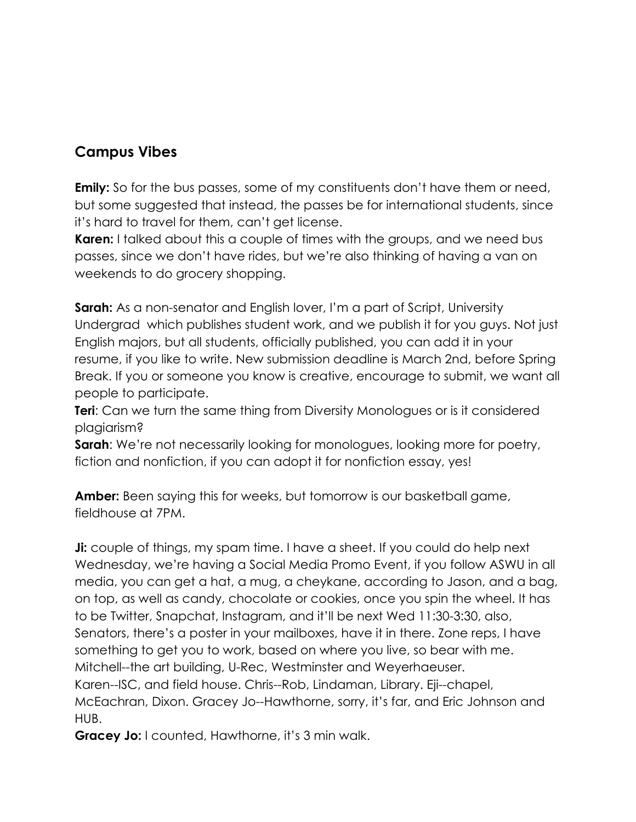#### **Campus Vibes**

**Emily:** So for the bus passes, some of my constituents don't have them or need, but some suggested that instead, the passes be for international students, since it's hard to travel for them, can't get license.

**Karen:** I talked about this a couple of times with the groups, and we need bus passes, since we don't have rides, but we're also thinking of having a van on weekends to do grocery shopping.

**Sarah:** As a non-senator and English lover, I'm a part of Script, University Undergrad which publishes student work, and we publish it for you guys. Not just English majors, but all students, officially published, you can add it in your resume, if you like to write. New submission deadline is March 2nd, before Spring Break. If you or someone you know is creative, encourage to submit, we want all people to participate.

**Teri**: Can we turn the same thing from Diversity Monologues or is it considered plagiarism?

**Sarah**: We're not necessarily looking for monologues, looking more for poetry, fiction and nonfiction, if you can adopt it for nonfiction essay, yes!

**Amber:** Been saying this for weeks, but tomorrow is our basketball game, fieldhouse at 7PM.

**Ji:** couple of things, my spam time. I have a sheet. If you could do help next Wednesday, we're having a Social Media Promo Event, if you follow ASWU in all media, you can get a hat, a mug, a cheykane, according to Jason, and a bag, on top, as well as candy, chocolate or cookies, once you spin the wheel. It has to be Twitter, Snapchat, Instagram, and it'll be next Wed 11:30-3:30, also, Senators, there's a poster in your mailboxes, have it in there. Zone reps, I have something to get you to work, based on where you live, so bear with me. Mitchell--the art building, U-Rec, Westminster and Weyerhaeuser. Karen--ISC, and field house. Chris--Rob, Lindaman, Library. Eji--chapel, McEachran, Dixon. Gracey Jo--Hawthorne, sorry, it's far, and Eric Johnson and HUB.

**Gracey Jo:** I counted, Hawthorne, it's 3 min walk.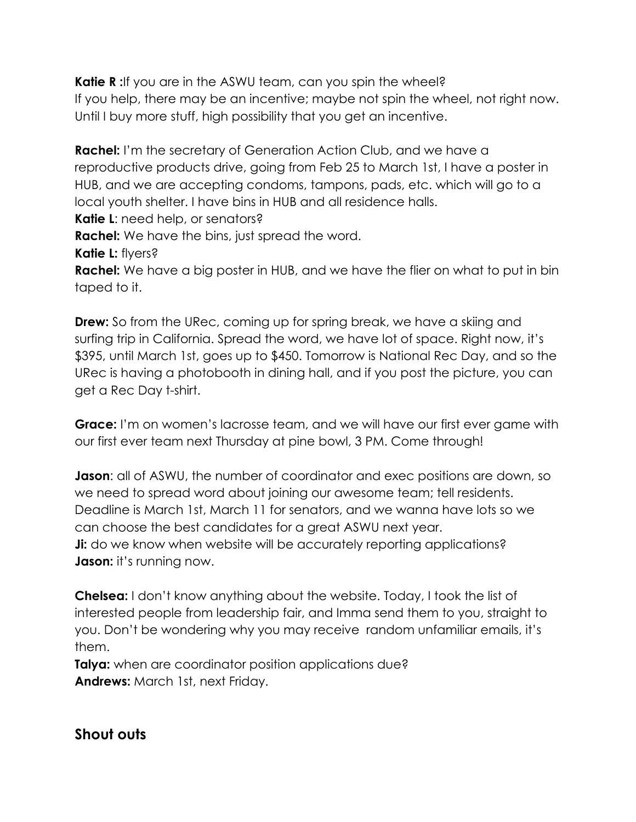**Katie R**: If you are in the ASWU team, can you spin the wheel? If you help, there may be an incentive; maybe not spin the wheel, not right now. Until I buy more stuff, high possibility that you get an incentive.

**Rachel:** I'm the secretary of Generation Action Club, and we have a reproductive products drive, going from Feb 25 to March 1st, I have a poster in HUB, and we are accepting condoms, tampons, pads, etc. which will go to a local youth shelter. I have bins in HUB and all residence halls. **Katie L**: need help, or senators?

**Rachel:** We have the bins, just spread the word.

**Katie L:** flyers?

**Rachel:** We have a big poster in HUB, and we have the flier on what to put in bin taped to it.

**Drew:** So from the URec, coming up for spring break, we have a skiing and surfing trip in California. Spread the word, we have lot of space. Right now, it's \$395, until March 1st, goes up to \$450. Tomorrow is National Rec Day, and so the URec is having a photobooth in dining hall, and if you post the picture, you can get a Rec Day t-shirt.

**Grace:** I'm on women's lacrosse team, and we will have our first ever game with our first ever team next Thursday at pine bowl, 3 PM. Come through!

**Jason**: all of ASWU, the number of coordinator and exec positions are down, so we need to spread word about joining our awesome team; tell residents. Deadline is March 1st, March 11 for senators, and we wanna have lots so we can choose the best candidates for a great ASWU next year. **Ji:** do we know when website will be accurately reporting applications? **Jason:** it's running now.

**Chelsea:** I don't know anything about the website. Today, I took the list of interested people from leadership fair, and Imma send them to you, straight to you. Don't be wondering why you may receive random unfamiliar emails, it's them.

**Talya:** when are coordinator position applications due? **Andrews:** March 1st, next Friday.

**Shout outs**